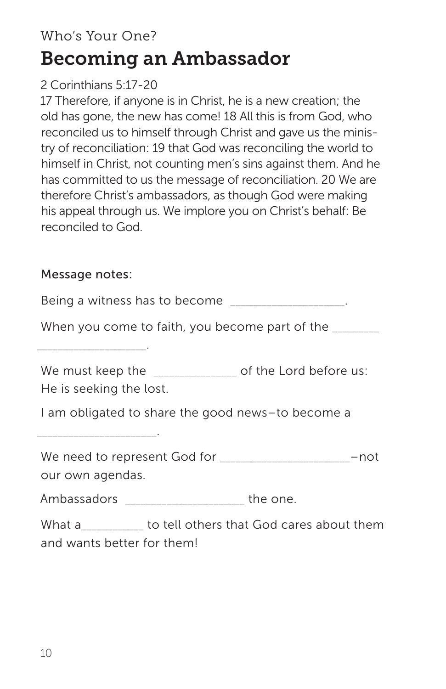# Who's Your One? Becoming an Ambassador

## 2 Corinthians 5:17-20

17 Therefore, if anyone is in Christ, he is a new creation; the old has gone, the new has come! 18 All this is from God, who reconciled us to himself through Christ and gave us the ministry of reconciliation: 19 that God was reconciling the world to himself in Christ, not counting men's sins against them. And he has committed to us the message of reconciliation. 20 We are therefore Christ's ambassadors, as though God were making his appeal through us. We implore you on Christ's behalf: Be reconciled to God.

### Message notes:

\_\_\_\_\_\_\_\_\_\_\_\_\_\_\_\_\_\_\_\_\_.

Being a witness has to become

When you come to faith, you become part of the

We must keep the **Example 20** of the Lord before us:

He is seeking the lost.

\_\_\_\_\_\_\_\_\_\_\_\_\_\_\_\_\_\_\_\_\_\_\_.

I am obligated to share the good news–to become a

We need to represent God for \_\_\_\_\_\_\_\_\_\_\_\_\_\_\_\_\_\_\_\_\_\_\_\_\_–not our own agendas.

Ambassadors \_\_\_\_\_\_\_\_\_\_\_\_\_\_\_\_\_\_\_\_\_the one.

What a \_\_\_\_\_\_\_\_\_\_ to tell others that God cares about them and wants better for them!